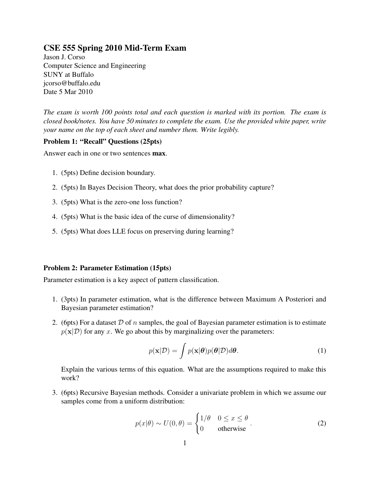# CSE 555 Spring 2010 Mid-Term Exam

Jason J. Corso Computer Science and Engineering SUNY at Buffalo jcorso@buffalo.edu Date 5 Mar 2010

*The exam is worth 100 points total and each question is marked with its portion. The exam is closed book/notes. You have 50 minutes to complete the exam. Use the provided white paper, write your name on the top of each sheet and number them. Write legibly.*

## Problem 1: "Recall" Questions (25pts)

Answer each in one or two sentences **max**.

- 1. (5pts) Define decision boundary.
- 2. (5pts) In Bayes Decision Theory, what does the prior probability capture?
- 3. (5pts) What is the zero-one loss function?
- 4. (5pts) What is the basic idea of the curse of dimensionality?
- 5. (5pts) What does LLE focus on preserving during learning?

#### Problem 2: Parameter Estimation (15pts)

Parameter estimation is a key aspect of pattern classification.

- 1. (3pts) In parameter estimation, what is the difference between Maximum A Posteriori and Bayesian parameter estimation?
- 2. (6pts) For a dataset  $\mathcal D$  of n samples, the goal of Bayesian parameter estimation is to estimate  $p(x|\mathcal{D})$  for any x. We go about this by marginalizing over the parameters:

$$
p(\mathbf{x}|\mathcal{D}) = \int p(\mathbf{x}|\boldsymbol{\theta})p(\boldsymbol{\theta}|\mathcal{D})d\boldsymbol{\theta}.
$$
 (1)

Explain the various terms of this equation. What are the assumptions required to make this work?

3. (6pts) Recursive Bayesian methods. Consider a univariate problem in which we assume our samples come from a uniform distribution:

$$
p(x|\theta) \sim U(0,\theta) = \begin{cases} 1/\theta & 0 \le x \le \theta \\ 0 & \text{otherwise} \end{cases}.
$$
 (2)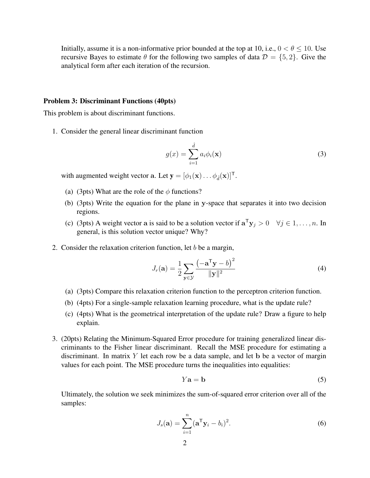Initially, assume it is a non-informative prior bounded at the top at 10, i.e.,  $0 < \theta \le 10$ . Use recursive Bayes to estimate  $\theta$  for the following two samples of data  $\mathcal{D} = \{5, 2\}$ . Give the analytical form after each iteration of the recursion.

### Problem 3: Discriminant Functions (40pts)

This problem is about discriminant functions.

1. Consider the general linear discriminant function

$$
g(x) = \sum_{i=1}^{\hat{d}} a_i \phi_i(\mathbf{x})
$$
 (3)

with augmented weight vector a. Let  $\mathbf{y} = [\phi_1(\mathbf{x}) \dots \phi_d(\mathbf{x})]^\mathsf{T}$ .

- (a) (3pts) What are the role of the  $\phi$  functions?
- (b) (3pts) Write the equation for the plane in y-space that separates it into two decision regions.
- (c) (3pts) A weight vector a is said to be a solution vector if  $\mathbf{a}^T \mathbf{y}_j > 0 \quad \forall j \in 1, \dots, n$ . In general, is this solution vector unique? Why?
- 2. Consider the relaxation criterion function, let  $b$  be a margin,

$$
J_r(\mathbf{a}) = \frac{1}{2} \sum_{\mathbf{y} \in \mathcal{Y}} \frac{\left(-\mathbf{a}^{\mathsf{T}} \mathbf{y} - b\right)^2}{\|\mathbf{y}\|^2}
$$
(4)

- (a) (3pts) Compare this relaxation criterion function to the perceptron criterion function.
- (b) (4pts) For a single-sample relaxation learning procedure, what is the update rule?
- (c) (4pts) What is the geometrical interpretation of the update rule? Draw a figure to help explain.
- 3. (20pts) Relating the Minimum-Squared Error procedure for training generalized linear discriminants to the Fisher linear discriminant. Recall the MSE procedure for estimating a discriminant. In matrix  $Y$  let each row be a data sample, and let b be a vector of margin values for each point. The MSE procedure turns the inequalities into equalities:

$$
Y\mathbf{a} = \mathbf{b} \tag{5}
$$

Ultimately, the solution we seek minimizes the sum-of-squared error criterion over all of the samples:

$$
J_s(\mathbf{a}) = \sum_{i=1}^n (\mathbf{a}^\mathsf{T} \mathbf{y}_i - b_i)^2.
$$
 (6)